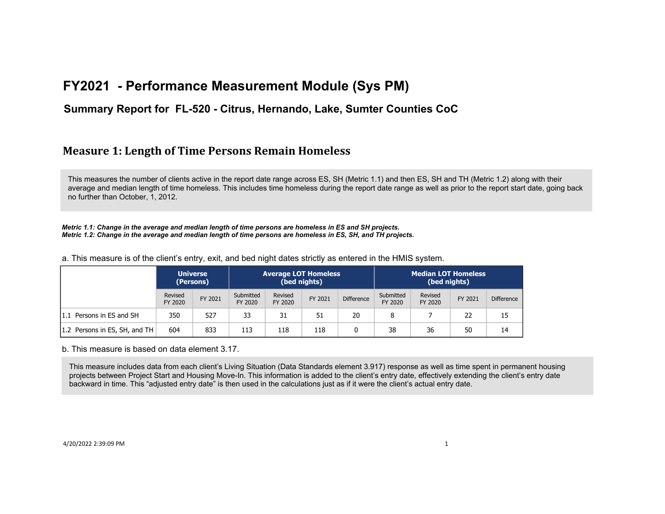### **Summary Report for FL-520 - Citrus, Hernando, Lake, Sumter Counties CoC**

### **Measure 1: Length of Time Persons Remain Homeless**

This measures the number of clients active in the report date range across ES, SH (Metric 1.1) and then ES, SH and TH (Metric 1.2) along with their average and median length of time homeless. This includes time homeless during the report date range as well as prior to the report start date, going back no further than October, 1, 2012.

*Metric 1.1: Change in the average and median length of time persons are homeless in ES and SH projects. Metric 1.2: Change in the average and median length of time persons are homeless in ES, SH, and TH projects.*

a. This measure is of the client's entry, exit, and bed night dates strictly as entered in the HMIS system.

|                               |                    | <b>Universe</b><br>(Persons) | <b>Average LOT Homeless</b><br>(bed nights) |                    | <b>Median LOT Homeless</b><br>(bed nights) |                   |                      |                    |         |                   |
|-------------------------------|--------------------|------------------------------|---------------------------------------------|--------------------|--------------------------------------------|-------------------|----------------------|--------------------|---------|-------------------|
|                               | Revised<br>FY 2020 | FY 2021                      | Submitted<br>FY 2020                        | Revised<br>FY 2020 | FY 2021                                    | <b>Difference</b> | Submitted<br>FY 2020 | Revised<br>FY 2020 | FY 2021 | <b>Difference</b> |
| 1.1 Persons in ES and SH      | 350                | 527                          | 33                                          | 31                 | 51                                         | 20                | 8                    |                    | 22      | 15                |
| 1.2 Persons in ES, SH, and TH | 604                | 833                          | 113                                         | 118                | 118                                        |                   | 38                   | 36                 | 50      | 14                |

b. This measure is based on data element 3.17.

This measure includes data from each client's Living Situation (Data Standards element 3.917) response as well as time spent in permanent housing projects between Project Start and Housing Move-In. This information is added to the client's entry date, effectively extending the client's entry date backward in time. This "adjusted entry date" is then used in the calculations just as if it were the client's actual entry date.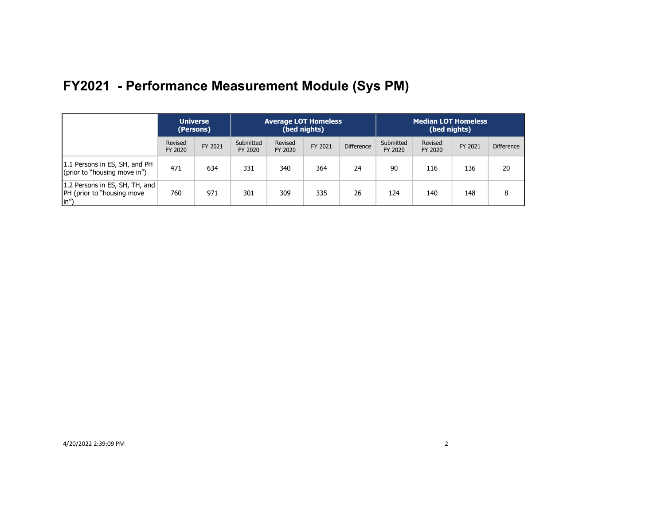|                                                                       | <b>Universe</b><br>(Persons) |         |                      | <b>Average LOT Homeless</b><br>(bed nights) |         |                   | <b>Median LOT Homeless</b><br>(bed nights) |                    |         |                   |
|-----------------------------------------------------------------------|------------------------------|---------|----------------------|---------------------------------------------|---------|-------------------|--------------------------------------------|--------------------|---------|-------------------|
|                                                                       | Revised<br>FY 2020           | FY 2021 | Submitted<br>FY 2020 | Revised<br>FY 2020                          | FY 2021 | <b>Difference</b> | Submitted<br>FY 2020                       | Revised<br>FY 2020 | FY 2021 | <b>Difference</b> |
| 1.1 Persons in ES, SH, and PH<br>(prior to "housing move in")         | 471                          | 634     | 331                  | 340                                         | 364     | 24                | 90                                         | 116                | 136     | 20                |
| 1.2 Persons in ES, SH, TH, and<br>[PH (prior to "housing move<br>(in" | 760                          | 971     | 301                  | 309                                         | 335     | 26                | 124                                        | 140                | 148     |                   |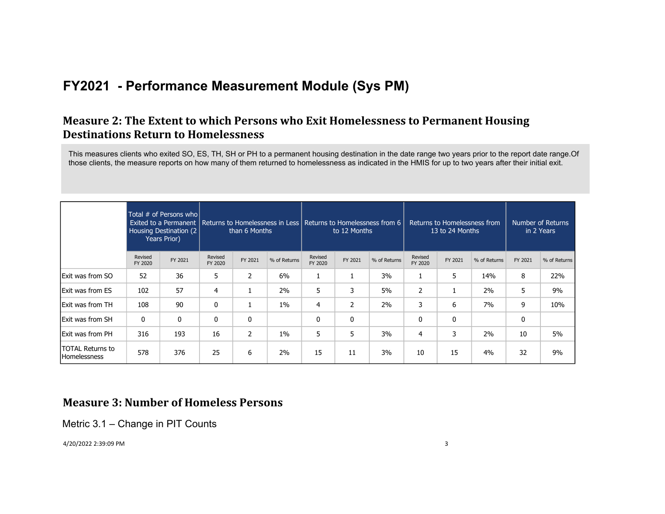## **Measure 2: The Extent to which Persons who Exit Homelessness to Permanent Housing Destinations Return to Homelessness**

This measures clients who exited SO, ES, TH, SH or PH to a permanent housing destination in the date range two years prior to the report date range.Of those clients, the measure reports on how many of them returned to homelessness as indicated in the HMIS for up to two years after their initial exit.

|                                                |                    | Total # of Persons who<br>Housing Destination (2)<br>Years Prior) |                    | than 6 Months |              |                    | Exited to a Permanent   Returns to Homelessness in Less   Returns to Homelessness from 6  <br>Returns to Homelessness from<br>Number of Returns<br>to 12 Months<br>13 to 24 Months<br>in 2 Years |              |                    |         |              |         |              |
|------------------------------------------------|--------------------|-------------------------------------------------------------------|--------------------|---------------|--------------|--------------------|--------------------------------------------------------------------------------------------------------------------------------------------------------------------------------------------------|--------------|--------------------|---------|--------------|---------|--------------|
|                                                | Revised<br>FY 2020 | FY 2021                                                           | Revised<br>FY 2020 | FY 2021       | % of Returns | Revised<br>FY 2020 | FY 2021                                                                                                                                                                                          | % of Returns | Revised<br>FY 2020 | FY 2021 | % of Returns | FY 2021 | % of Returns |
| <b>Exit was from SO</b>                        | 52                 | 36                                                                | 5                  | 2             | 6%           | 1                  |                                                                                                                                                                                                  | 3%           |                    | 5       | 14%          | 8       | 22%          |
| Exit was from ES                               | 102                | 57                                                                | $\overline{4}$     | Ŧ.            | 2%           | 5                  | 3                                                                                                                                                                                                | 5%           | $\overline{2}$     |         | 2%           | 5       | 9%           |
| Exit was from TH                               | 108                | 90                                                                | 0                  | <b>I</b>      | $1\%$        | 4                  | 2                                                                                                                                                                                                | 2%           | 3                  | 6       | 7%           | 9       | 10%          |
| <b>Exit was from SH</b>                        | 0                  | $\mathbf{0}$                                                      | 0                  | 0             |              | 0                  | 0                                                                                                                                                                                                |              | 0                  | 0       |              | 0       |              |
| Exit was from PH                               | 316                | 193                                                               | 16                 | 2             | $1\%$        | 5                  | 5.                                                                                                                                                                                               | 3%           | 4                  | 3       | 2%           | 10      | 5%           |
| <b>TOTAL Returns to</b><br><b>Homelessness</b> | 578                | 376                                                               | 25                 | 6             | 2%           | 15                 | 11                                                                                                                                                                                               | 3%           | 10                 | 15      | 4%           | 32      | 9%           |

### **Measure 3: Number of Homeless Persons**

Metric 3.1 – Change in PIT Counts

4/20/2022 2:39:09 PM 3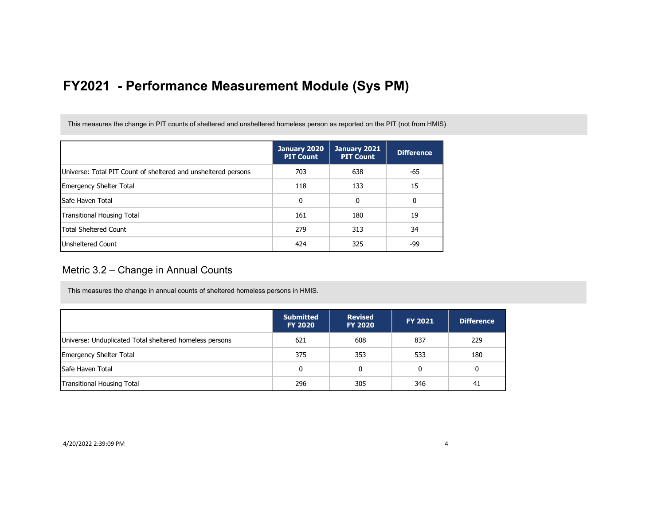This measures the change in PIT counts of sheltered and unsheltered homeless person as reported on the PIT (not from HMIS).

|                                                                | January 2020<br><b>PIT Count</b> | January 2021<br><b>PIT Count</b> | <b>Difference</b> |
|----------------------------------------------------------------|----------------------------------|----------------------------------|-------------------|
| Universe: Total PIT Count of sheltered and unsheltered persons | 703                              | 638                              | -65               |
| Emergency Shelter Total                                        | 118                              | 133                              | 15                |
| lSafe Haven Total                                              | 0                                | 0                                | 0                 |
| Transitional Housing Total                                     | 161                              | 180                              | 19                |
| <b>Total Sheltered Count</b>                                   | 279                              | 313                              | 34                |
| <b>Unsheltered Count</b>                                       | 424                              | 325                              | -99               |

### Metric 3.2 – Change in Annual Counts

This measures the change in annual counts of sheltered homeless persons in HMIS.

|                                                         | <b>Submitted</b><br><b>FY 2020</b> | <b>Revised</b><br><b>FY 2020</b> | <b>FY 2021</b> | <b>Difference</b> |
|---------------------------------------------------------|------------------------------------|----------------------------------|----------------|-------------------|
| Universe: Unduplicated Total sheltered homeless persons | 621                                | 608                              | 837            | 229               |
| <b>Emergency Shelter Total</b>                          | 375                                | 353                              | 533            | 180               |
| <b>Safe Haven Total</b>                                 | 0                                  | 0                                | 0              | 0                 |
| <b>Transitional Housing Total</b>                       | 296                                | 305                              | 346            | 41                |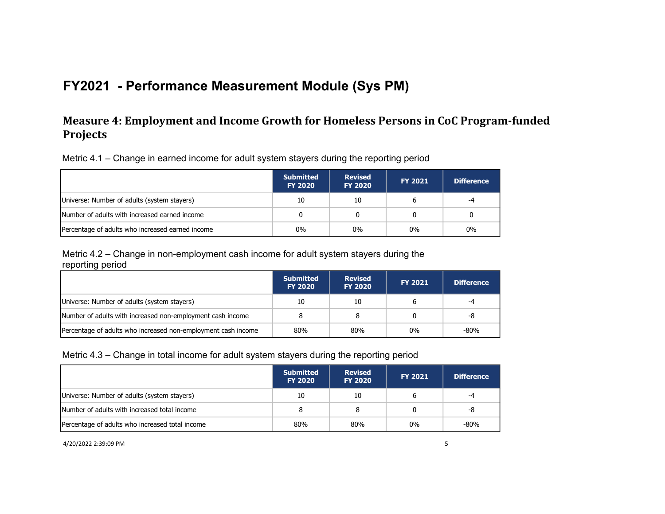## **Measure 4: Employment and Income Growth for Homeless Persons in CoC Program-funded Projects**

Metric 4.1 – Change in earned income for adult system stayers during the reporting period

|                                                  | <b>Submitted</b><br><b>FY 2020</b> | <b>Revised</b><br><b>FY 2020</b> | <b>FY 2021</b> | <b>Difference</b> |
|--------------------------------------------------|------------------------------------|----------------------------------|----------------|-------------------|
| Universe: Number of adults (system stayers)      | 10                                 | 10                               | ь              | -4                |
| Number of adults with increased earned income    |                                    |                                  |                |                   |
| Percentage of adults who increased earned income | $0\%$                              | $0\%$                            | $0\%$          | 0%                |

Metric 4.2 – Change in non-employment cash income for adult system stayers during the reporting period

|                                                               | <b>Submitted</b><br><b>FY 2020</b> | <b>Revised</b><br><b>FY 2020</b> | <b>FY 2021</b> | <b>Difference</b> |
|---------------------------------------------------------------|------------------------------------|----------------------------------|----------------|-------------------|
| Universe: Number of adults (system stayers)                   | 10                                 | 10                               |                | -4                |
| Number of adults with increased non-employment cash income    |                                    |                                  |                | -8                |
| Percentage of adults who increased non-employment cash income | 80%                                | 80%                              | $0\%$          | $-80%$            |

#### Metric 4.3 – Change in total income for adult system stayers during the reporting period

|                                                 | <b>Submitted</b><br><b>FY 2020</b> | <b>Revised</b><br><b>FY 2020</b> | <b>FY 2021</b> | <b>Difference</b> |
|-------------------------------------------------|------------------------------------|----------------------------------|----------------|-------------------|
| Universe: Number of adults (system stayers)     | 10                                 | 10                               |                | -4                |
| Number of adults with increased total income    | 8                                  |                                  |                | -8                |
| Percentage of adults who increased total income | 80%                                | 80%                              | 0%             | $-80%$            |

4/20/2022 2:39:09 PM 5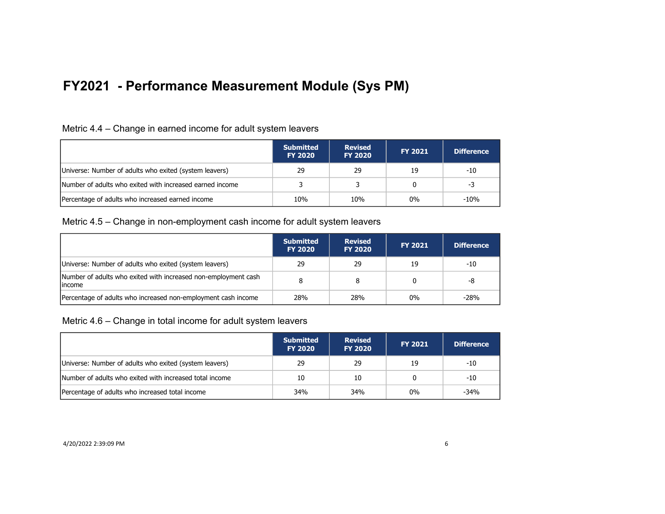| Metric 4.4 – Change in earned income for adult system leavers |  |  |  |
|---------------------------------------------------------------|--|--|--|
|                                                               |  |  |  |

|                                                          | <b>Submitted</b><br><b>FY 2020</b> | <b>Revised</b><br><b>FY 2020</b> | <b>FY 2021</b> | <b>Difference</b> |
|----------------------------------------------------------|------------------------------------|----------------------------------|----------------|-------------------|
| Universe: Number of adults who exited (system leavers)   | 29                                 | 29                               | 19             | -10               |
| Number of adults who exited with increased earned income |                                    |                                  | 0              | -3                |
| Percentage of adults who increased earned income         | 10%                                | 10%                              | $0\%$          | $-10%$            |

#### Metric 4.5 – Change in non-employment cash income for adult system leavers

|                                                                           | <b>Submitted</b><br><b>FY 2020</b> | <b>Revised</b><br><b>FY 2020</b> | <b>FY 2021</b> | <b>Difference</b> |
|---------------------------------------------------------------------------|------------------------------------|----------------------------------|----------------|-------------------|
| Universe: Number of adults who exited (system leavers)                    | 29                                 | 29                               | 19             | -10               |
| Number of adults who exited with increased non-employment cash<br>lincome |                                    |                                  |                | -8                |
| Percentage of adults who increased non-employment cash income             | 28%                                | 28%                              | $0\%$          | $-28%$            |

Metric 4.6 – Change in total income for adult system leavers

|                                                         | <b>Submitted</b><br><b>FY 2020</b> | <b>Revised</b><br><b>FY 2020</b> | <b>FY 2021</b> | Difference |
|---------------------------------------------------------|------------------------------------|----------------------------------|----------------|------------|
| Universe: Number of adults who exited (system leavers)  | 29                                 | 29                               | 19             | -10        |
| Number of adults who exited with increased total income | 10                                 | 10                               |                | -10        |
| Percentage of adults who increased total income         | 34%                                | 34%                              | $0\%$          | $-34%$     |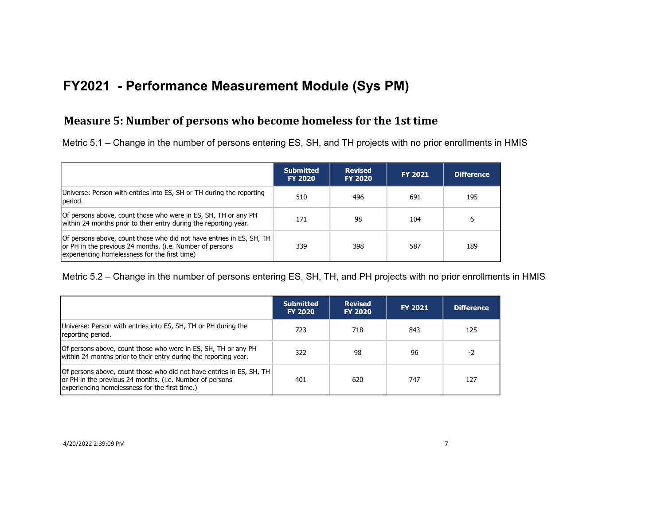### **Measure 5: Number of persons who become homeless for the 1st time**

Metric 5.1 – Change in the number of persons entering ES, SH, and TH projects with no prior enrollments in HMIS

|                                                                                                                                                                                   | <b>Submitted</b><br><b>FY 2020</b> | <b>Revised</b><br><b>FY 2020</b> | <b>FY 2021</b> | <b>Difference</b> |
|-----------------------------------------------------------------------------------------------------------------------------------------------------------------------------------|------------------------------------|----------------------------------|----------------|-------------------|
| Universe: Person with entries into ES, SH or TH during the reporting<br>period.                                                                                                   | 510                                | 496                              | 691            | 195               |
| Of persons above, count those who were in ES, SH, TH or any PH<br>within 24 months prior to their entry during the reporting year.                                                | 171                                | 98                               | 104            | 6                 |
| Of persons above, count those who did not have entries in ES, SH, TH<br>or PH in the previous 24 months. (i.e. Number of persons<br>experiencing homelessness for the first time) | 339                                | 398                              | 587            | 189               |

Metric 5.2 – Change in the number of persons entering ES, SH, TH, and PH projects with no prior enrollments in HMIS

|                                                                                                                                                                                    | <b>Submitted</b><br><b>FY 2020</b> | <b>Revised</b><br><b>FY 2020</b> | <b>FY 2021</b> | <b>Difference</b> |
|------------------------------------------------------------------------------------------------------------------------------------------------------------------------------------|------------------------------------|----------------------------------|----------------|-------------------|
| Universe: Person with entries into ES, SH, TH or PH during the<br>reporting period.                                                                                                | 723                                | 718                              | 843            | 125               |
| Of persons above, count those who were in ES, SH, TH or any PH<br>within 24 months prior to their entry during the reporting year.                                                 | 322                                | 98                               | 96             | $-2$              |
| Of persons above, count those who did not have entries in ES, SH, TH<br>or PH in the previous 24 months. (i.e. Number of persons<br>experiencing homelessness for the first time.) | 401                                | 620                              | 747            | 127               |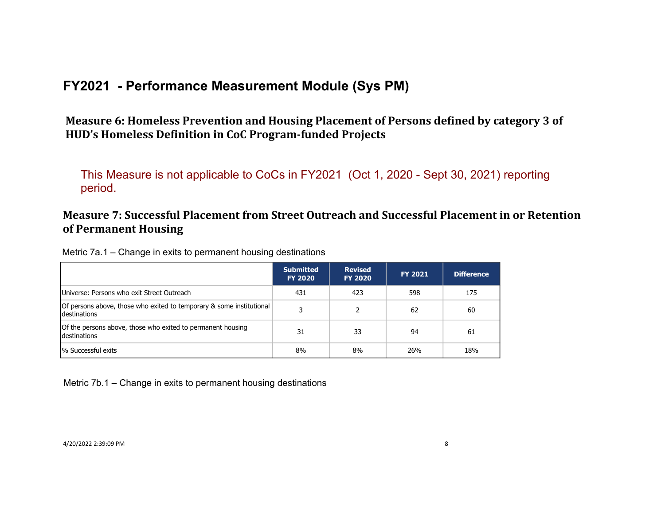Measure 6: Homeless Prevention and Housing Placement of Persons defined by category 3 of HUD's Homeless Definition in CoC Program-funded Projects

This Measure is not applicable to CoCs in FY2021 (Oct 1, 2020 - Sept 30, 2021) reporting period.

## **Measure 7: Successful Placement from Street Outreach and Successful Placement in or Retention of Permanent Housing**

| Metric 7a.1 – Change in exits to permanent housing destinations |  |  |  |
|-----------------------------------------------------------------|--|--|--|
|                                                                 |  |  |  |

|                                                                                      | <b>Submitted</b><br><b>FY 2020</b> | <b>Revised</b><br><b>FY 2020</b> | <b>FY 2021</b> | <b>Difference</b> |
|--------------------------------------------------------------------------------------|------------------------------------|----------------------------------|----------------|-------------------|
| Universe: Persons who exit Street Outreach                                           | 431                                | 423                              | 598            | 175               |
| Of persons above, those who exited to temporary & some institutional<br>destinations |                                    |                                  | 62             | 60                |
| Of the persons above, those who exited to permanent housing<br>destinations          | 31                                 | 33                               | 94             | 61                |
| % Successful exits                                                                   | 8%                                 | 8%                               | 26%            | 18%               |

Metric 7b.1 – Change in exits to permanent housing destinations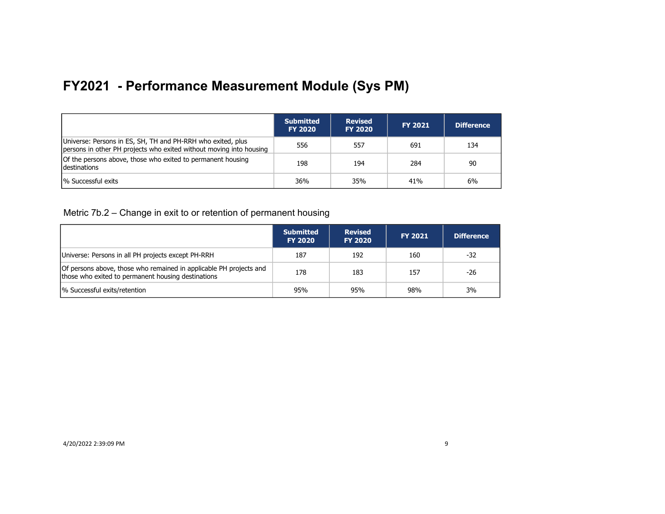|                                                                                                                                    | <b>Submitted</b><br><b>FY 2020</b> | <b>Revised</b><br><b>FY 2020</b> | <b>FY 2021</b> | <b>Difference</b> |
|------------------------------------------------------------------------------------------------------------------------------------|------------------------------------|----------------------------------|----------------|-------------------|
| Universe: Persons in ES, SH, TH and PH-RRH who exited, plus<br>persons in other PH projects who exited without moving into housing | 556                                | 557                              | 691            | 134               |
| Of the persons above, those who exited to permanent housing<br><b>Idestinations</b>                                                | 198                                | 194                              | 284            | 90                |
| <sup>1</sup> % Successful exits                                                                                                    | 36%                                | 35%                              | 41%            | 6%                |

Metric 7b.2 – Change in exit to or retention of permanent housing

|                                                                                                                          | <b>Submitted</b><br><b>FY 2020</b> | <b>Revised</b><br><b>FY 2020</b> | <b>FY 2021</b> | <b>Difference</b> |
|--------------------------------------------------------------------------------------------------------------------------|------------------------------------|----------------------------------|----------------|-------------------|
| Universe: Persons in all PH projects except PH-RRH                                                                       | 187                                | 192                              | 160            | -32               |
| Of persons above, those who remained in applicable PH projects and<br>those who exited to permanent housing destinations | 178                                | 183                              | 157            | -26               |
| % Successful exits/retention                                                                                             | 95%                                | 95%                              | 98%            | 3%                |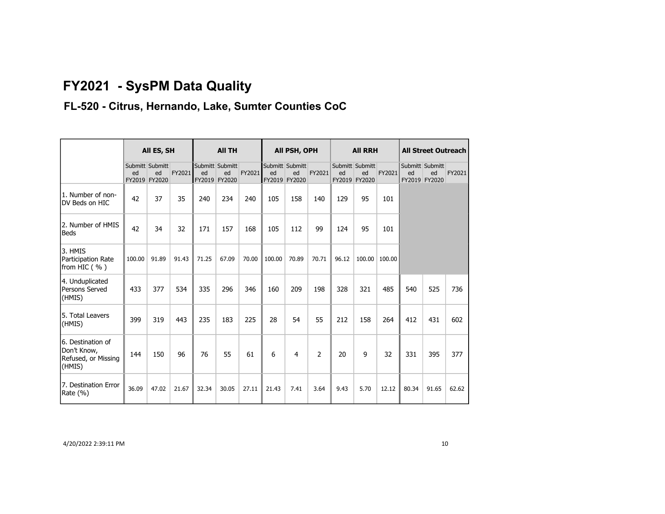# **FY2021 - SysPM Data Quality**

## **FL-520 - Citrus, Hernando, Lake, Sumter Counties CoC**

|                                                                   | All ES, SH |                                        | <b>All TH</b> |       |                                        | All PSH, OPH |        |                                        | <b>All RRH</b> |       |                                        | <b>All Street Outreach</b> |       |                                        |        |
|-------------------------------------------------------------------|------------|----------------------------------------|---------------|-------|----------------------------------------|--------------|--------|----------------------------------------|----------------|-------|----------------------------------------|----------------------------|-------|----------------------------------------|--------|
|                                                                   | ed         | Submitt Submitt<br>ed<br>FY2019 FY2020 | FY2021        | ed    | Submitt Submitt<br>ed<br>FY2019 FY2020 | FY2021       | ed     | Submitt Submitt<br>ed<br>FY2019 FY2020 | FY2021         | ed    | Submitt Submitt<br>ed<br>FY2019 FY2020 | FY2021                     | ed    | Submitt Submitt<br>ed<br>FY2019 FY2020 | FY2021 |
| 1. Number of non-<br>DV Beds on HIC                               | 42         | 37                                     | 35            | 240   | 234                                    | 240          | 105    | 158                                    | 140            | 129   | 95                                     | 101                        |       |                                        |        |
| 2. Number of HMIS<br><b>Beds</b>                                  | 42         | 34                                     | 32            | 171   | 157                                    | 168          | 105    | 112                                    | 99             | 124   | 95                                     | 101                        |       |                                        |        |
| 3. HMIS<br>Participation Rate<br>from HIC $( %)$                  | 100.00     | 91.89                                  | 91.43         | 71.25 | 67.09                                  | 70.00        | 100.00 | 70.89                                  | 70.71          | 96.12 | 100.00                                 | 100.00                     |       |                                        |        |
| 4. Unduplicated<br>Persons Served<br>(HMIS)                       | 433        | 377                                    | 534           | 335   | 296                                    | 346          | 160    | 209                                    | 198            | 328   | 321                                    | 485                        | 540   | 525                                    | 736    |
| 5. Total Leavers<br>(HMIS)                                        | 399        | 319                                    | 443           | 235   | 183                                    | 225          | 28     | 54                                     | 55             | 212   | 158                                    | 264                        | 412   | 431                                    | 602    |
| 6. Destination of<br>Don't Know,<br>Refused, or Missing<br>(HMIS) | 144        | 150                                    | 96            | 76    | 55                                     | 61           | 6      | $\overline{4}$                         | $\overline{2}$ | 20    | 9                                      | 32                         | 331   | 395                                    | 377    |
| 7. Destination Error<br>Rate (%)                                  | 36.09      | 47.02                                  | 21.67         | 32.34 | 30.05                                  | 27.11        | 21.43  | 7.41                                   | 3.64           | 9.43  | 5.70                                   | 12.12                      | 80.34 | 91.65                                  | 62.62  |

4/20/2022 2:39:11 PM 10